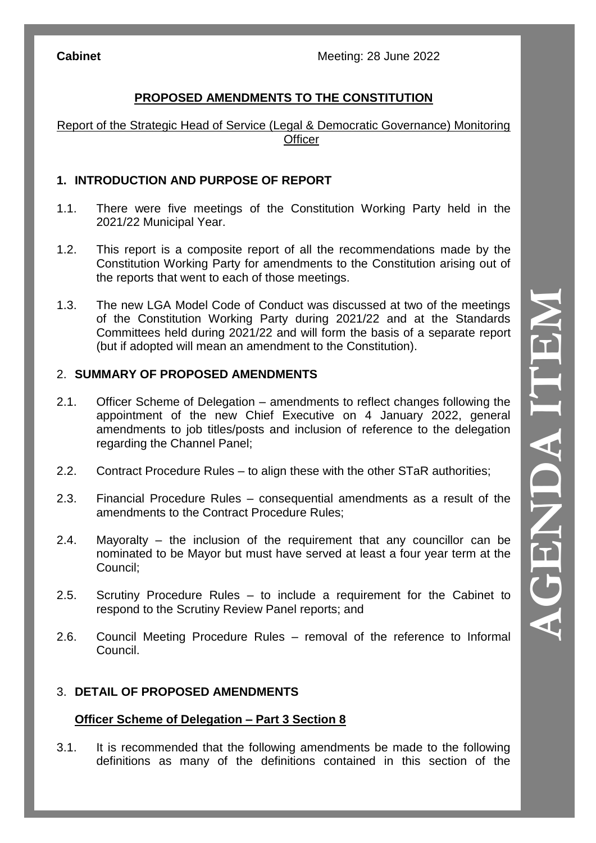# **PROPOSED AMENDMENTS TO THE CONSTITUTION**

Report of the Strategic Head of Service (Legal & Democratic Governance) Monitoring **Officer** 

## **1. INTRODUCTION AND PURPOSE OF REPORT**

- 1.1. There were five meetings of the Constitution Working Party held in the 2021/22 Municipal Year.
- 1.2. This report is a composite report of all the recommendations made by the Constitution Working Party for amendments to the Constitution arising out of the reports that went to each of those meetings.
- 1.3. The new LGA Model Code of Conduct was discussed at two of the meetings of the Constitution Working Party during 2021/22 and at the Standards Committees held during 2021/22 and will form the basis of a separate report (but if adopted will mean an amendment to the Constitution).

## 2. **SUMMARY OF PROPOSED AMENDMENTS**

- 2.1. Officer Scheme of Delegation amendments to reflect changes following the appointment of the new Chief Executive on 4 January 2022, general amendments to job titles/posts and inclusion of reference to the delegation regarding the Channel Panel;
- 2.2. Contract Procedure Rules to align these with the other STaR authorities;
- 2.3. Financial Procedure Rules consequential amendments as a result of the amendments to the Contract Procedure Rules;
- 2.4. Mayoralty the inclusion of the requirement that any councillor can be nominated to be Mayor but must have served at least a four year te rm at the Council;
- 2.5. Scrutiny Procedure Rules to include a requirement for the Cabinet to respond to the Scrutiny Review Panel reports; and
- 2.6. Council Meeting Procedure Rules removal of the reference to Informal Council.

### 3. **DETAIL OF PROPOSED AMENDMENTS**

### **Officer Scheme of Delegation – Part 3 Section 8**

3.1. It is recommended that the following amendments be made to the following definitions as many of the definitions contained in this section of the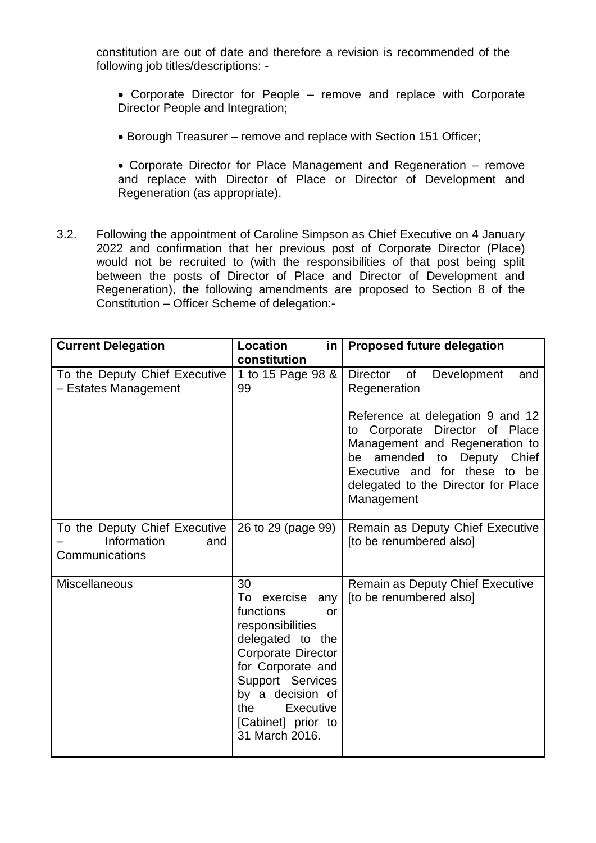constitution are out of date and therefore a revision is recommended of the following job titles/descriptions: -

- Corporate Director for People remove and replace with Corporate Director People and Integration;
- Borough Treasurer remove and replace with Section 151 Officer;
- Corporate Director for Place Management and Regeneration remove and replace with Director of Place or Director of Development and Regeneration (as appropriate).
- 3.2. Following the appointment of Caroline Simpson as Chief Executive on 4 January 2022 and confirmation that her previous post of Corporate Director (Place) would not be recruited to (with the responsibilities of that post being split between the posts of Director of Place and Director of Development and Regeneration), the following amendments are proposed to Section 8 of the Constitution – Officer Scheme of delegation:-

| <b>Current Delegation</b>                             | Location<br>in<br>constitution                                                                                                                                                                                                               | <b>Proposed future delegation</b>                                                                                                                                                                                           |
|-------------------------------------------------------|----------------------------------------------------------------------------------------------------------------------------------------------------------------------------------------------------------------------------------------------|-----------------------------------------------------------------------------------------------------------------------------------------------------------------------------------------------------------------------------|
| To the Deputy Chief Executive<br>- Estates Management | 1 to 15 Page 98 &<br>99                                                                                                                                                                                                                      | Director of<br>Development<br>and<br>Regeneration                                                                                                                                                                           |
|                                                       |                                                                                                                                                                                                                                              | Reference at delegation 9 and 12<br>Corporate Director of Place<br>to<br>Management and Regeneration to<br>be amended to Deputy Chief<br>Executive and for these to be<br>delegated to the Director for Place<br>Management |
| To the Deputy Chief Executive<br>Information<br>and   | 26 to 29 (page 99)                                                                                                                                                                                                                           | Remain as Deputy Chief Executive<br>[to be renumbered also]                                                                                                                                                                 |
| Communications                                        |                                                                                                                                                                                                                                              |                                                                                                                                                                                                                             |
| <b>Miscellaneous</b>                                  | 30<br>To exercise any<br>functions<br>$\alpha$<br>responsibilities<br>delegated to the<br>Corporate Director<br>for Corporate and<br>Support Services<br>by a decision of<br><b>Executive</b><br>the<br>[Cabinet] prior to<br>31 March 2016. | Remain as Deputy Chief Executive<br>[to be renumbered also]                                                                                                                                                                 |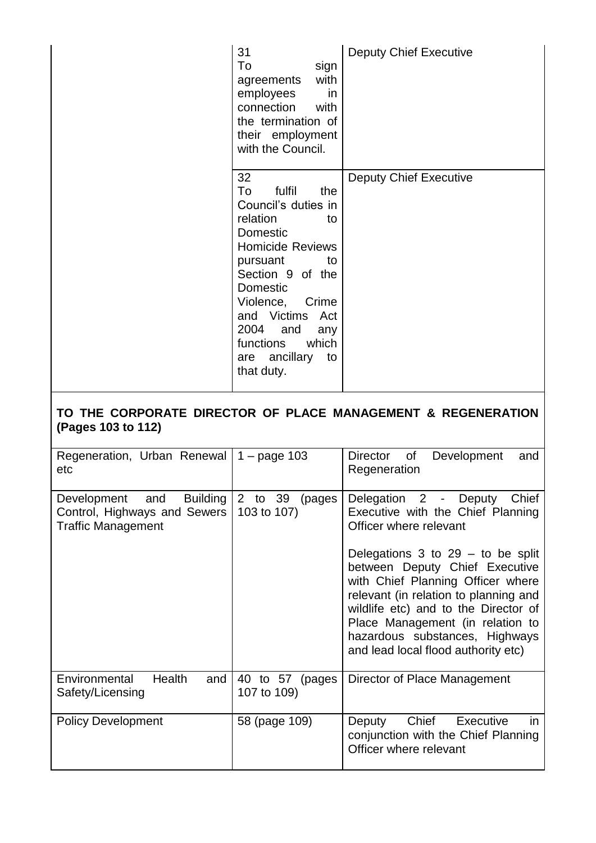| 31<br>To<br>sign<br>with<br>agreements<br>employees<br>in<br>connection<br>with<br>the termination of<br>their employment<br>with the Council.                                                                                                                                        | <b>Deputy Chief Executive</b> |
|---------------------------------------------------------------------------------------------------------------------------------------------------------------------------------------------------------------------------------------------------------------------------------------|-------------------------------|
| 32<br>To<br>fulfil<br>the<br>Council's duties in<br>relation<br>to<br>Domestic<br><b>Homicide Reviews</b><br>pursuant<br>to<br>Section 9 of the<br>Domestic<br>Violence,<br>Crime<br>and Victims Act<br>2004<br>and<br>any<br>functions<br>which<br>are ancillary<br>to<br>that duty. | <b>Deputy Chief Executive</b> |

# **TO THE CORPORATE DIRECTOR OF PLACE MANAGEMENT & REGENERATION (Pages 103 to 112)**

| Regeneration, Urban Renewal   $1 - page 103$<br>etc                                             |                                   | Director<br>of<br>Development<br>and<br>Regeneration                                                                                                                                                                                                                                                       |
|-------------------------------------------------------------------------------------------------|-----------------------------------|------------------------------------------------------------------------------------------------------------------------------------------------------------------------------------------------------------------------------------------------------------------------------------------------------------|
| Development and<br><b>Building</b><br>Control, Highways and Sewers<br><b>Traffic Management</b> | 2 to 39<br>(pages<br>103 to 107)  | Delegation 2 -<br>Chief<br>Deputy<br>Executive with the Chief Planning<br>Officer where relevant                                                                                                                                                                                                           |
|                                                                                                 |                                   | Delegations $3$ to $29 -$ to be split<br>between Deputy Chief Executive<br>with Chief Planning Officer where<br>relevant (in relation to planning and<br>wildlife etc) and to the Director of<br>Place Management (in relation to<br>hazardous substances, Highways<br>and lead local flood authority etc) |
| Health<br>and<br>Environmental<br>Safety/Licensing                                              | 40 to 57<br>(pages<br>107 to 109) | Director of Place Management                                                                                                                                                                                                                                                                               |
| <b>Policy Development</b>                                                                       | 58 (page 109)                     | Chief<br>Executive<br>Deputy<br>in.<br>conjunction with the Chief Planning<br>Officer where relevant                                                                                                                                                                                                       |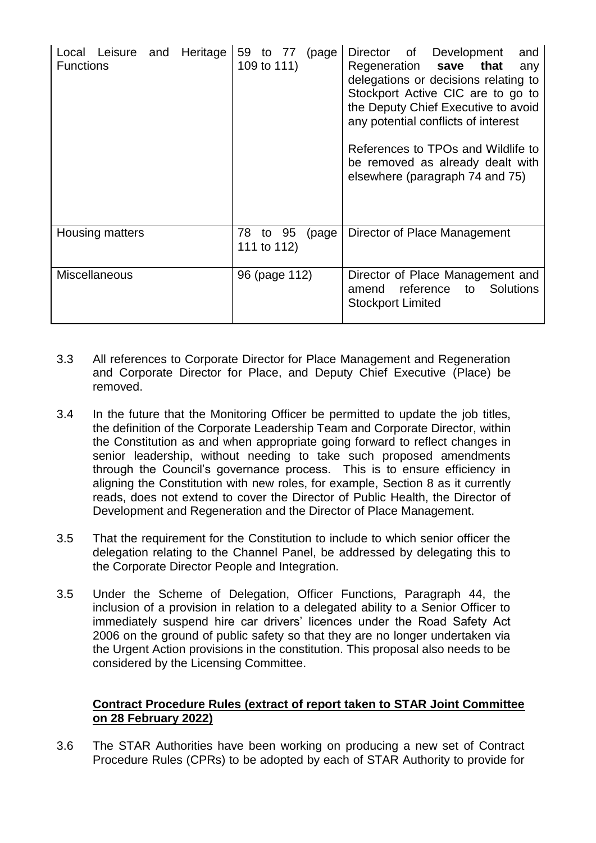| Local Leisure and Heritage<br><b>Functions</b> | 59 to 77 (page<br>109 to 111)    | Director of Development<br>and<br>Regeneration save that<br>any<br>delegations or decisions relating to<br>Stockport Active CIC are to go to<br>the Deputy Chief Executive to avoid<br>any potential conflicts of interest<br>References to TPOs and Wildlife to<br>be removed as already dealt with<br>elsewhere (paragraph 74 and 75) |
|------------------------------------------------|----------------------------------|-----------------------------------------------------------------------------------------------------------------------------------------------------------------------------------------------------------------------------------------------------------------------------------------------------------------------------------------|
| Housing matters                                | 78 to 95<br>(page<br>111 to 112) | Director of Place Management                                                                                                                                                                                                                                                                                                            |
| <b>Miscellaneous</b>                           | 96 (page 112)                    | Director of Place Management and<br>amend reference<br><b>Solutions</b><br>to<br><b>Stockport Limited</b>                                                                                                                                                                                                                               |

- 3.3 All references to Corporate Director for Place Management and Regeneration and Corporate Director for Place, and Deputy Chief Executive (Place) be removed.
- 3.4 In the future that the Monitoring Officer be permitted to update the job titles, the definition of the Corporate Leadership Team and Corporate Director, within the Constitution as and when appropriate going forward to reflect changes in senior leadership, without needing to take such proposed amendments through the Council's governance process. This is to ensure efficiency in aligning the Constitution with new roles, for example, Section 8 as it currently reads, does not extend to cover the Director of Public Health, the Director of Development and Regeneration and the Director of Place Management.
- 3.5 That the requirement for the Constitution to include to which senior officer the delegation relating to the Channel Panel, be addressed by delegating this to the Corporate Director People and Integration.
- 3.5 Under the Scheme of Delegation, Officer Functions, Paragraph 44, the inclusion of a provision in relation to a delegated ability to a Senior Officer to immediately suspend hire car drivers' licences under the Road Safety Act 2006 on the ground of public safety so that they are no longer undertaken via the Urgent Action provisions in the constitution. This proposal also needs to be considered by the Licensing Committee.

### **Contract Procedure Rules (extract of report taken to STAR Joint Committee on 28 February 2022)**

3.6 The STAR Authorities have been working on producing a new set of Contract Procedure Rules (CPRs) to be adopted by each of STAR Authority to provide for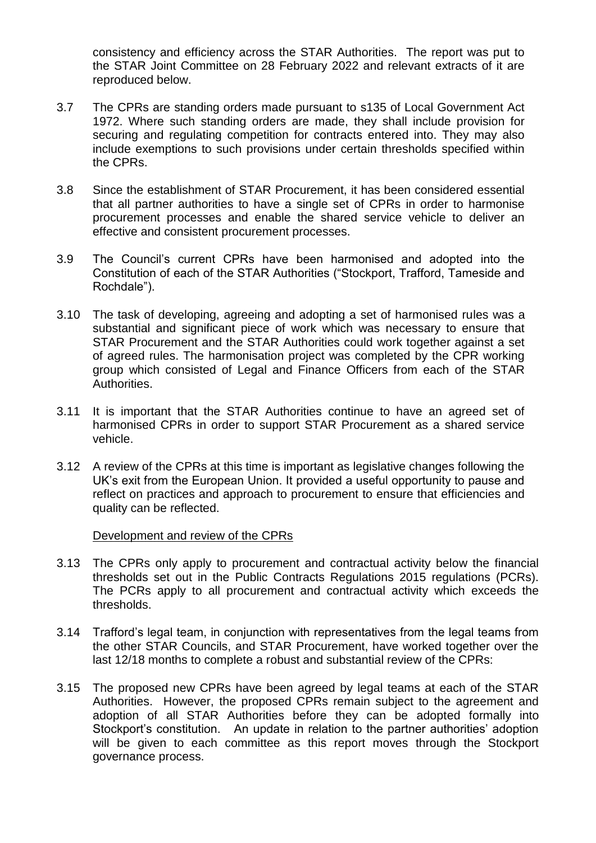consistency and efficiency across the STAR Authorities. The report was put to the STAR Joint Committee on 28 February 2022 and relevant extracts of it are reproduced below.

- 3.7 The CPRs are standing orders made pursuant to s135 of Local Government Act 1972. Where such standing orders are made, they shall include provision for securing and regulating competition for contracts entered into. They may also include exemptions to such provisions under certain thresholds specified within the CPRs.
- 3.8 Since the establishment of STAR Procurement, it has been considered essential that all partner authorities to have a single set of CPRs in order to harmonise procurement processes and enable the shared service vehicle to deliver an effective and consistent procurement processes.
- 3.9 The Council's current CPRs have been harmonised and adopted into the Constitution of each of the STAR Authorities ("Stockport, Trafford, Tameside and Rochdale").
- 3.10 The task of developing, agreeing and adopting a set of harmonised rules was a substantial and significant piece of work which was necessary to ensure that STAR Procurement and the STAR Authorities could work together against a set of agreed rules. The harmonisation project was completed by the CPR working group which consisted of Legal and Finance Officers from each of the STAR Authorities.
- 3.11 It is important that the STAR Authorities continue to have an agreed set of harmonised CPRs in order to support STAR Procurement as a shared service vehicle.
- 3.12 A review of the CPRs at this time is important as legislative changes following the UK's exit from the European Union. It provided a useful opportunity to pause and reflect on practices and approach to procurement to ensure that efficiencies and quality can be reflected.

#### Development and review of the CPRs

- 3.13 The CPRs only apply to procurement and contractual activity below the financial thresholds set out in the Public Contracts Regulations 2015 regulations (PCRs). The PCRs apply to all procurement and contractual activity which exceeds the thresholds.
- 3.14 Trafford's legal team, in conjunction with representatives from the legal teams from the other STAR Councils, and STAR Procurement, have worked together over the last 12/18 months to complete a robust and substantial review of the CPRs:
- 3.15 The proposed new CPRs have been agreed by legal teams at each of the STAR Authorities. However, the proposed CPRs remain subject to the agreement and adoption of all STAR Authorities before they can be adopted formally into Stockport's constitution. An update in relation to the partner authorities' adoption will be given to each committee as this report moves through the Stockport governance process.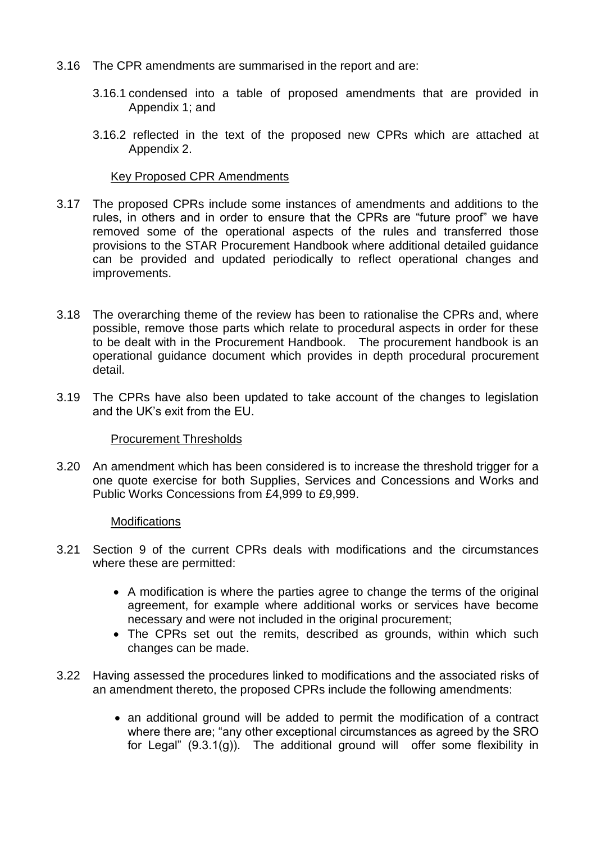- 3.16 The CPR amendments are summarised in the report and are:
	- 3.16.1 condensed into a table of proposed amendments that are provided in Appendix 1; and
	- 3.16.2 reflected in the text of the proposed new CPRs which are attached at Appendix 2.

#### Key Proposed CPR Amendments

- 3.17 The proposed CPRs include some instances of amendments and additions to the rules, in others and in order to ensure that the CPRs are "future proof" we have removed some of the operational aspects of the rules and transferred those provisions to the STAR Procurement Handbook where additional detailed guidance can be provided and updated periodically to reflect operational changes and improvements.
- 3.18 The overarching theme of the review has been to rationalise the CPRs and, where possible, remove those parts which relate to procedural aspects in order for these to be dealt with in the Procurement Handbook. The procurement handbook is an operational guidance document which provides in depth procedural procurement detail.
- 3.19 The CPRs have also been updated to take account of the changes to legislation and the UK's exit from the EU.

### Procurement Thresholds

3.20 An amendment which has been considered is to increase the threshold trigger for a one quote exercise for both Supplies, Services and Concessions and Works and Public Works Concessions from £4,999 to £9,999.

#### **Modifications**

- 3.21 Section 9 of the current CPRs deals with modifications and the circumstances where these are permitted:
	- A modification is where the parties agree to change the terms of the original agreement, for example where additional works or services have become necessary and were not included in the original procurement;
	- The CPRs set out the remits, described as grounds, within which such changes can be made.
- 3.22 Having assessed the procedures linked to modifications and the associated risks of an amendment thereto, the proposed CPRs include the following amendments:
	- an additional ground will be added to permit the modification of a contract where there are; "any other exceptional circumstances as agreed by the SRO for Legal" (9.3.1(g)). The additional ground will offer some flexibility in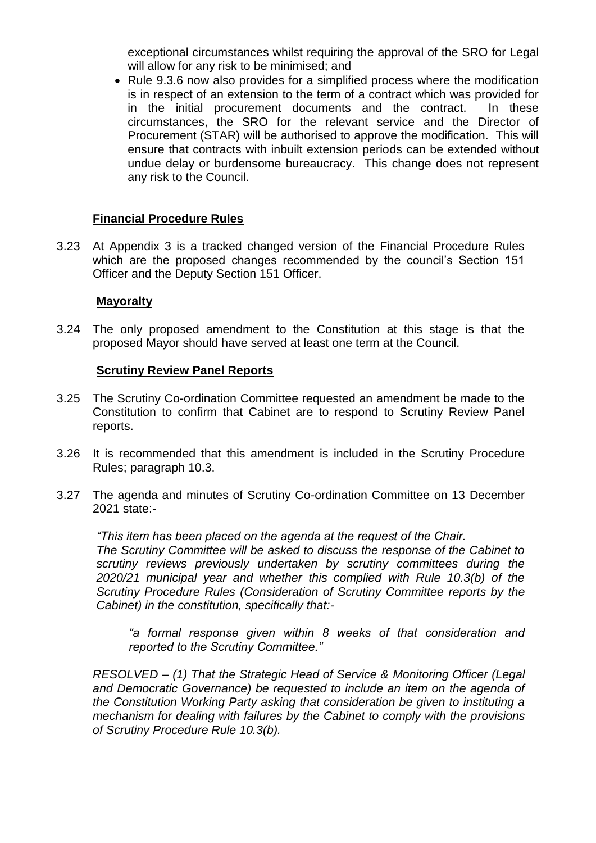exceptional circumstances whilst requiring the approval of the SRO for Legal will allow for any risk to be minimised; and

• Rule 9.3.6 now also provides for a simplified process where the modification is in respect of an extension to the term of a contract which was provided for in the initial procurement documents and the contract. In these circumstances, the SRO for the relevant service and the Director of Procurement (STAR) will be authorised to approve the modification. This will ensure that contracts with inbuilt extension periods can be extended without undue delay or burdensome bureaucracy. This change does not represent any risk to the Council.

### **Financial Procedure Rules**

3.23 At Appendix 3 is a tracked changed version of the Financial Procedure Rules which are the proposed changes recommended by the council's Section 151 Officer and the Deputy Section 151 Officer.

### **Mayoralty**

3.24 The only proposed amendment to the Constitution at this stage is that the proposed Mayor should have served at least one term at the Council.

#### **Scrutiny Review Panel Reports**

- 3.25 The Scrutiny Co-ordination Committee requested an amendment be made to the Constitution to confirm that Cabinet are to respond to Scrutiny Review Panel reports.
- 3.26 It is recommended that this amendment is included in the Scrutiny Procedure Rules; paragraph 10.3.
- 3.27 The agenda and minutes of Scrutiny Co-ordination Committee on 13 December 2021 state:-

*"This item has been placed on the agenda at the request of the Chair. The Scrutiny Committee will be asked to discuss the response of the Cabinet to scrutiny reviews previously undertaken by scrutiny committees during the 2020/21 municipal year and whether this complied with Rule 10.3(b) of the Scrutiny Procedure Rules (Consideration of Scrutiny Committee reports by the Cabinet) in the constitution, specifically that:-*

*"a formal response given within 8 weeks of that consideration and reported to the Scrutiny Committee."* 

*RESOLVED – (1) That the Strategic Head of Service & Monitoring Officer (Legal and Democratic Governance) be requested to include an item on the agenda of the Constitution Working Party asking that consideration be given to instituting a mechanism for dealing with failures by the Cabinet to comply with the provisions of Scrutiny Procedure Rule 10.3(b).*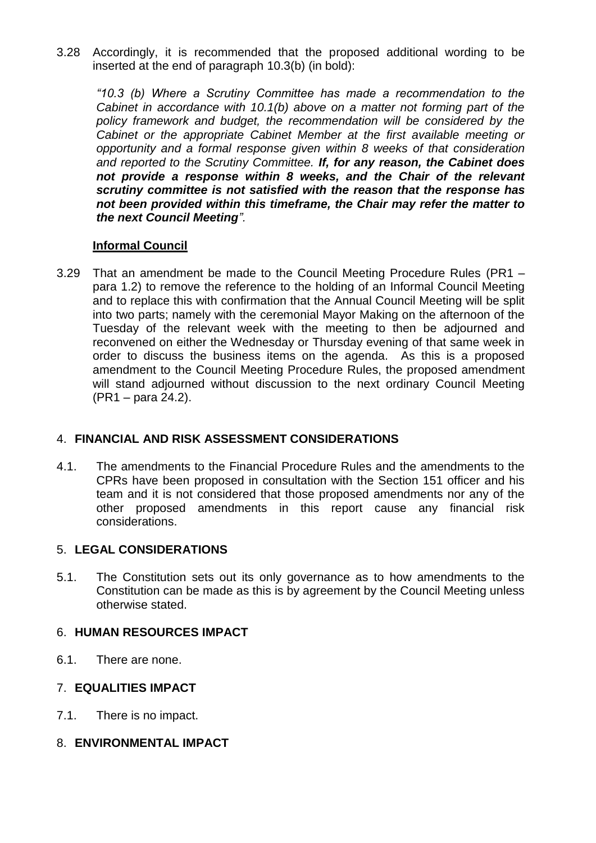3.28 Accordingly, it is recommended that the proposed additional wording to be inserted at the end of paragraph 10.3(b) (in bold):

*"10.3 (b) Where a Scrutiny Committee has made a recommendation to the Cabinet in accordance with 10.1(b) above on a matter not forming part of the policy framework and budget, the recommendation will be considered by the Cabinet or the appropriate Cabinet Member at the first available meeting or opportunity and a formal response given within 8 weeks of that consideration and reported to the Scrutiny Committee. If, for any reason, the Cabinet does not provide a response within 8 weeks, and the Chair of the relevant scrutiny committee is not satisfied with the reason that the response has not been provided within this timeframe, the Chair may refer the matter to the next Council Meeting".*

## **Informal Council**

3.29 That an amendment be made to the Council Meeting Procedure Rules (PR1 – para 1.2) to remove the reference to the holding of an Informal Council Meeting and to replace this with confirmation that the Annual Council Meeting will be split into two parts; namely with the ceremonial Mayor Making on the afternoon of the Tuesday of the relevant week with the meeting to then be adjourned and reconvened on either the Wednesday or Thursday evening of that same week in order to discuss the business items on the agenda. As this is a proposed amendment to the Council Meeting Procedure Rules, the proposed amendment will stand adjourned without discussion to the next ordinary Council Meeting (PR1 – para 24.2).

# 4. **FINANCIAL AND RISK ASSESSMENT CONSIDERATIONS**

4.1. The amendments to the Financial Procedure Rules and the amendments to the CPRs have been proposed in consultation with the Section 151 officer and his team and it is not considered that those proposed amendments nor any of the other proposed amendments in this report cause any financial risk considerations.

# 5. **LEGAL CONSIDERATIONS**

5.1. The Constitution sets out its only governance as to how amendments to the Constitution can be made as this is by agreement by the Council Meeting unless otherwise stated.

# 6. **HUMAN RESOURCES IMPACT**

6.1. There are none.

# 7. **EQUALITIES IMPACT**

7.1. There is no impact.

# 8. **ENVIRONMENTAL IMPACT**